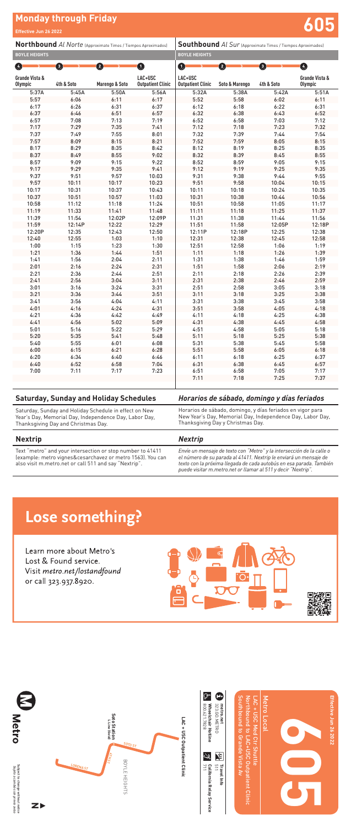### **Southbound** *Al Sur* (Approximate Times / Tiempos Aproximados) **BOYLE HEIGHTS**

# **Monday through Friday Effective Jun 26 2022 605**

Text "metro" and your intersection or stop number to 41411 (example: metro vignes&cesarchavez or metro 1563). You can also visit m.metro.net or call 511 and say "Nextrip".

*Envíe un mensaje de texto con "Metro" y la intersección de la calle o el número de su parada al 41411. Nextrip le enviará un mensaje de texto con la próxima llegada de cada autobús en esa parada. También puede visitar m.metro.net or llamar al 511 y decir "Nextrip".*

## Lose something?

Learn more about Metro's Lost & Found service. Visit metro.net/lostandfound or call 323.937.8920.



|                                  |            |                           |                                     | <u>,,,,,,,,,,,,</u>                 |                |            |                                  |
|----------------------------------|------------|---------------------------|-------------------------------------|-------------------------------------|----------------|------------|----------------------------------|
| $\left  \mathcal{L} \right $     | Ð          | 2                         | $\bf \Phi$                          | $\bf \Phi$                          | $\mathbf{2}$   | o          | ❹                                |
| Grande Vista &<br><b>Olympic</b> | 4th & Soto | <b>Marengo &amp; Soto</b> | LAC+USC<br><b>Outpatient Clinic</b> | LAC+USC<br><b>Outpatient Clinic</b> | Soto & Marengo | 4th & Soto | Grande Vista &<br><b>Olympic</b> |
| 5:37A                            | 5:45A      | 5:50A                     | 5:56A                               | 5:32A                               | 5:38A          | 5:42A      | 5:51A                            |
| 5:57                             | 6:06       | 6:11                      | 6:17                                | 5:52                                | 5:58           | 6:02       | 6:11                             |
| 6:17                             | 6:26       | 6:31                      | 6:37                                | 6:12                                | 6:18           | 6:22       | 6:31                             |
| 6:37                             | 6:46       | 6:51                      | 6:57                                | 6:32                                | 6:38           | 6:43       | 6:52                             |
| 6:57                             | 7:08       | 7:13                      | 7:19                                | 6:52                                | 6:58           | 7:03       | 7:12                             |
| 7:17                             | 7:29       | 7:35                      | 7:41                                | 7:12                                | 7:18           | 7:23       | 7:32                             |
| 7:37                             | 7:49       | 7:55                      | 8:01                                | 7:32                                | 7:39           | 7:44       | 7:54                             |
| 7:57                             | 8:09       | 8:15                      | 8:21                                | 7:52                                | 7:59           | 8:05       | 8:15                             |
| 8:17                             | 8:29       | 8:35                      | 8:42                                | 8:12                                | 8:19           | 8:25       | 8:35                             |
| 8:37                             | 8:49       | 8:55                      | 9:02                                | 8:32                                | 8:39           | 8:45       | 8:55                             |
| 8:57                             | 9:09       | 9:15                      | 9:22                                | 8:52                                | 8:59           | 9:05       | 9:15                             |
| 9:17                             | 9:29       | 9:35                      | 9:41                                | 9:12                                | 9:19           | 9:25       | 9:35                             |
| 9:37                             | 9:51       | 9:57                      | 10:03                               | 9:31                                | 9:38           | 9:44       | 9:55                             |
| 9:57                             | 10:11      | 10:17                     | 10:23                               | 9:51                                | 9:58           | 10:04      | 10:15                            |
| 10:17                            | 10:31      | 10:37                     | 10:43                               | 10:11                               | 10:18          | 10:24      | 10:35                            |
| 10:37                            | 10:51      | 10:57                     | 11:03                               | 10:31                               | 10:38          | 10:44      | 10:56                            |
| 10:58                            | 11:12      | 11:18                     | 11:24                               | 10:51                               | 10:58          | 11:05      | 11:17                            |
| 11:19                            | 11:33      | 11:41                     | 11:48                               | 11:11                               | 11:18          | 11:25      | 11:37                            |
| 11:39                            | 11:54      | 12:02P                    | 12:09P                              | 11:31                               | 11:38          | 11:44      | 11:56                            |
| 11:59                            | 12:14P     | 12:22                     | 12:29                               | 11:51                               | 11:58          | 12:05P     | 12:18P                           |
| 12:20P                           | 12:35      | 12:43                     | 12:50                               | 12:11P                              | 12:18P         | 12:25      | 12:38                            |
| 12:40                            | 12:55      | 1:03                      | 1:10                                | 12:31                               | 12:38          | 12:45      | 12:58                            |
| 1:00                             | 1:15       | 1:23                      | 1:30                                | 12:51                               | 12:58          | 1:06       | 1:19                             |
| 1:21                             | 1:36       | 1:44                      | 1:51                                | 1:11                                | 1:18           | 1:26       | 1:39                             |
| 1:41                             | 1:56       | 2:04                      | 2:11                                | 1:31                                | 1:38           | 1:46       | 1:59                             |
| 2:01                             | 2:16       | 2:24                      | 2:31                                | 1:51                                | 1:58           | 2:06       | 2:19                             |
| 2:21                             | 2:36       | 2:44                      | 2:51                                | 2:11                                | 2:18           | 2:26       | 2:39                             |
| 2:41                             | 2:56       | 3:04                      | 3:11                                | 2:31                                | 2:38           | 2:46       | 2:59                             |
| 3:01                             | 3:16       | 3:24                      | 3:31                                | 2:51                                | 2:58           | 3:05       | 3:18                             |
| 3:21                             | 3:36       | 3:44                      | 3:51                                | 3:11                                | 3:18           | 3:25       | 3:38                             |
| 3:41                             | 3:56       | 4:04                      | 4:11                                | 3:31                                | 3:38           | 3:45       | 3:58                             |
| 4:01                             | 4:16       | 4:24                      | 4:31                                | 3:51                                | 3:58           | 4:05       | 4:18                             |
| 4:21                             | 4:36       | 4:42                      | 4:49                                | 4:11                                | 4:18           | 4:25       | 4:38                             |
| 4:41                             | 4:56       | 5:02                      | 5:09                                | 4:31                                | 4:38           | 4:45       | 4:58                             |
| 5:01                             | 5:16       | 5:22                      | 5:29                                | 4:51                                | 4:58           | 5:05       | 5:18                             |
| 5:20                             | 5:35       | 5:41                      | 5:48                                | 5:11                                | 5:18           | 5:25       | 5:38                             |
| 5:40                             | 5:55       | 6:01                      | 6:08                                | 5:31                                | 5:38           | 5:45       | 5:58                             |
| 6:00                             | 6:15       | 6:21                      | 6:28                                | 5:51                                | 5:58           | 6:05       | 6:18                             |
| 6:20                             | 6:34       | 6:40                      | 6:46                                | 6:11                                | 6:18           | 6:25       | 6:37                             |
| 6:40                             | 6:52       | 6:58                      | 7:04                                | 6:31                                | 6:38           | 6:45       | 6:57                             |
| 7:00                             | 7:11       | 7:17                      | 7:23                                | 6:51                                | 6:58           | 7:05       | 7:17                             |
|                                  |            |                           |                                     | 7:11                                | 7:18           | 7:25       | 7:37                             |

## **Northbound** *Al Norte* (Approximate Times / Tiempos Aproximados) **BOYLE HEIGHTS**

Subject to change without notice<br>Subjeto a cambios sin previo aviso Subject to change without notice *Sujeto a cambios sin previo aviso*



| <b>Saturday, Sunday and Holiday Schedules</b>                                                                                                           | Horarios de sábado, domingo y días feriados                                                                                                                   |
|---------------------------------------------------------------------------------------------------------------------------------------------------------|---------------------------------------------------------------------------------------------------------------------------------------------------------------|
| Saturday, Sunday and Holiday Schedule in effect on New<br>Year's Day, Memorial Day, Independence Day, Labor Day,<br>Thanksgiving Day and Christmas Day. | Horarios de sábado, domingo, y días feriados en vigor para<br>New Year's Day, Memorial Day, Independence Day, Labor Day,<br>Thanksgiving Day y Christmas Day. |
| <b>Nextrip</b>                                                                                                                                          | <b>Nextrip</b>                                                                                                                                                |

**Effective Jun 26 2022**

Effective Jun 26 2022



800.621.7828 **Wheelchair Hotline** 323.GO.METRO

**California Relay Service**

511